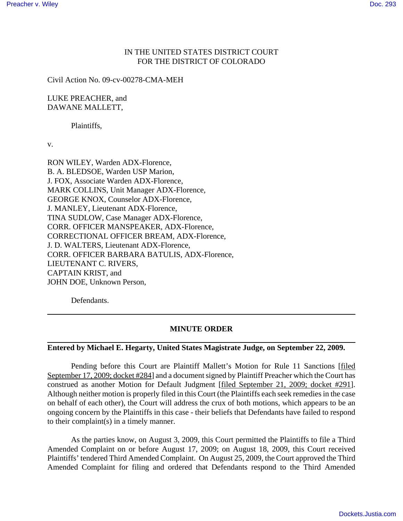## IN THE UNITED STATES DISTRICT COURT FOR THE DISTRICT OF COLORADO

Civil Action No. 09-cv-00278-CMA-MEH

LUKE PREACHER, and DAWANE MALLETT,

Plaintiffs,

v.

RON WILEY, Warden ADX-Florence, B. A. BLEDSOE, Warden USP Marion, J. FOX, Associate Warden ADX-Florence, MARK COLLINS, Unit Manager ADX-Florence, GEORGE KNOX, Counselor ADX-Florence, J. MANLEY, Lieutenant ADX-Florence, TINA SUDLOW, Case Manager ADX-Florence, CORR. OFFICER MANSPEAKER, ADX-Florence, CORRECTIONAL OFFICER BREAM, ADX-Florence, J. D. WALTERS, Lieutenant ADX-Florence, CORR. OFFICER BARBARA BATULIS, ADX-Florence, LIEUTENANT C. RIVERS, CAPTAIN KRIST, and JOHN DOE, Unknown Person,

Defendants.

## **MINUTE ORDER**

## **Entered by Michael E. Hegarty, United States Magistrate Judge, on September 22, 2009.**

Pending before this Court are Plaintiff Mallett's Motion for Rule 11 Sanctions [filed September 17, 2009; docket #284] and a document signed by Plaintiff Preacher which the Court has construed as another Motion for Default Judgment [filed September 21, 2009; docket #291]. Although neither motion is properly filed in this Court (the Plaintiffs each seek remedies in the case on behalf of each other), the Court will address the crux of both motions, which appears to be an ongoing concern by the Plaintiffs in this case - their beliefs that Defendants have failed to respond to their complaint(s) in a timely manner.

As the parties know, on August 3, 2009, this Court permitted the Plaintiffs to file a Third Amended Complaint on or before August 17, 2009; on August 18, 2009, this Court received Plaintiffs' tendered Third Amended Complaint. On August 25, 2009, the Court approved the Third Amended Complaint for filing and ordered that Defendants respond to the Third Amended